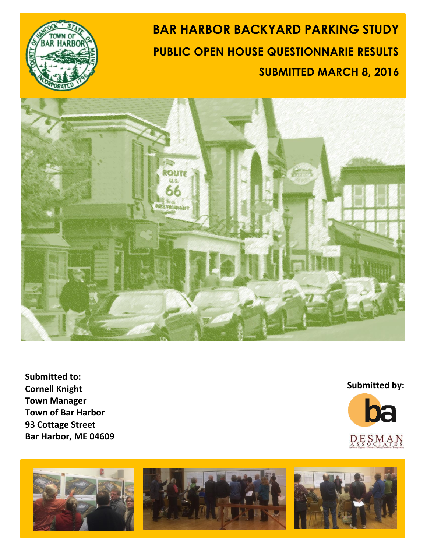

# **BAR HARBOR BACKYARD PARKING STUDY PUBLIC OPEN HOUSE QUESTIONNARIE RESULTS SUBMITTED MARCH 8, 2016**



**Submitted to: Cornell Knight Town Manager Town of Bar Harbor 93 Cottage Street Bar Harbor, ME 04609**

#### **Submitted by:**



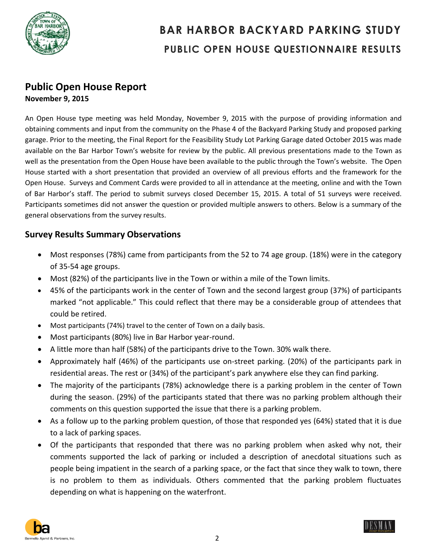

#### **Public Open House Report November 9, 2015**

An Open House type meeting was held Monday, November 9, 2015 with the purpose of providing information and obtaining comments and input from the community on the Phase 4 of the Backyard Parking Study and proposed parking garage. Prior to the meeting, the Final Report for the Feasibility Study Lot Parking Garage dated October 2015 was made available on the Bar Harbor Town's website for review by the public. All previous presentations made to the Town as well as the presentation from the Open House have been available to the public through the Town's website. The Open House started with a short presentation that provided an overview of all previous efforts and the framework for the Open House. Surveys and Comment Cards were provided to all in attendance at the meeting, online and with the Town of Bar Harbor's staff. The period to submit surveys closed December 15, 2015. A total of 51 surveys were received. Participants sometimes did not answer the question or provided multiple answers to others. Below is a summary of the general observations from the survey results.

#### **Survey Results Summary Observations**

- Most responses (78%) came from participants from the 52 to 74 age group. (18%) were in the category of 35-54 age groups.
- Most (82%) of the participants live in the Town or within a mile of the Town limits.
- 45% of the participants work in the center of Town and the second largest group (37%) of participants marked "not applicable." This could reflect that there may be a considerable group of attendees that could be retired.
- Most participants (74%) travel to the center of Town on a daily basis.
- Most participants (80%) live in Bar Harbor year-round.
- A little more than half (58%) of the participants drive to the Town. 30% walk there.
- Approximately half (46%) of the participants use on-street parking. (20%) of the participants park in residential areas. The rest or (34%) of the participant's park anywhere else they can find parking.
- The majority of the participants (78%) acknowledge there is a parking problem in the center of Town during the season. (29%) of the participants stated that there was no parking problem although their comments on this question supported the issue that there is a parking problem.
- As a follow up to the parking problem question, of those that responded yes (64%) stated that it is due to a lack of parking spaces.
- Of the participants that responded that there was no parking problem when asked why not, their comments supported the lack of parking or included a description of anecdotal situations such as people being impatient in the search of a parking space, or the fact that since they walk to town, there is no problem to them as individuals. Others commented that the parking problem fluctuates depending on what is happening on the waterfront.



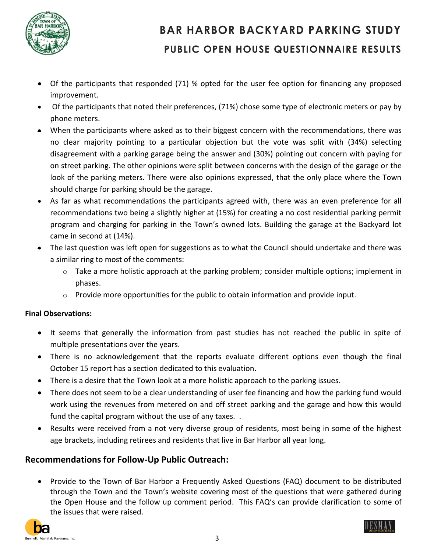

- Of the participants that responded (71) % opted for the user fee option for financing any proposed improvement.
- Of the participants that noted their preferences, (71%) chose some type of electronic meters or pay by phone meters.
- When the participants where asked as to their biggest concern with the recommendations, there was no clear majority pointing to a particular objection but the vote was split with (34%) selecting disagreement with a parking garage being the answer and (30%) pointing out concern with paying for on street parking. The other opinions were split between concerns with the design of the garage or the look of the parking meters. There were also opinions expressed, that the only place where the Town should charge for parking should be the garage.
- As far as what recommendations the participants agreed with, there was an even preference for all recommendations two being a slightly higher at (15%) for creating a no cost residential parking permit program and charging for parking in the Town's owned lots. Building the garage at the Backyard lot came in second at (14%).
- The last question was left open for suggestions as to what the Council should undertake and there was a similar ring to most of the comments:
	- $\circ$  Take a more holistic approach at the parking problem; consider multiple options; implement in phases.
	- o Provide more opportunities for the public to obtain information and provide input.

#### **Final Observations:**

- It seems that generally the information from past studies has not reached the public in spite of multiple presentations over the years.
- There is no acknowledgement that the reports evaluate different options even though the final October 15 report has a section dedicated to this evaluation.
- There is a desire that the Town look at a more holistic approach to the parking issues.
- There does not seem to be a clear understanding of user fee financing and how the parking fund would work using the revenues from metered on and off street parking and the garage and how this would fund the capital program without the use of any taxes. .
- Results were received from a not very diverse group of residents, most being in some of the highest age brackets, including retirees and residents that live in Bar Harbor all year long.

#### **Recommendations for Follow-Up Public Outreach:**

 Provide to the Town of Bar Harbor a Frequently Asked Questions (FAQ) document to be distributed through the Town and the Town's website covering most of the questions that were gathered during the Open House and the follow up comment period. This FAQ's can provide clarification to some of the issues that were raised.



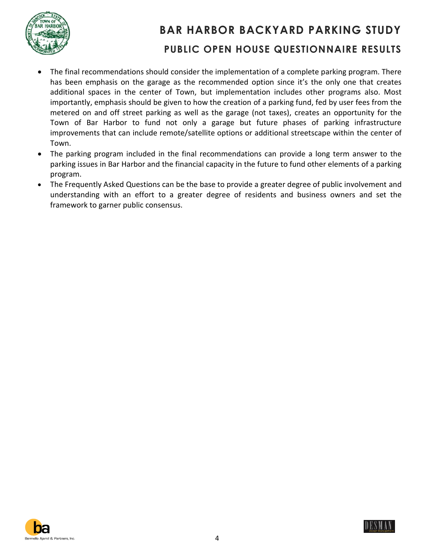

- The final recommendations should consider the implementation of a complete parking program. There has been emphasis on the garage as the recommended option since it's the only one that creates additional spaces in the center of Town, but implementation includes other programs also. Most importantly, emphasis should be given to how the creation of a parking fund, fed by user fees from the metered on and off street parking as well as the garage (not taxes), creates an opportunity for the Town of Bar Harbor to fund not only a garage but future phases of parking infrastructure improvements that can include remote/satellite options or additional streetscape within the center of Town.
- The parking program included in the final recommendations can provide a long term answer to the parking issues in Bar Harbor and the financial capacity in the future to fund other elements of a parking program.
- The Frequently Asked Questions can be the base to provide a greater degree of public involvement and understanding with an effort to a greater degree of residents and business owners and set the framework to garner public consensus.



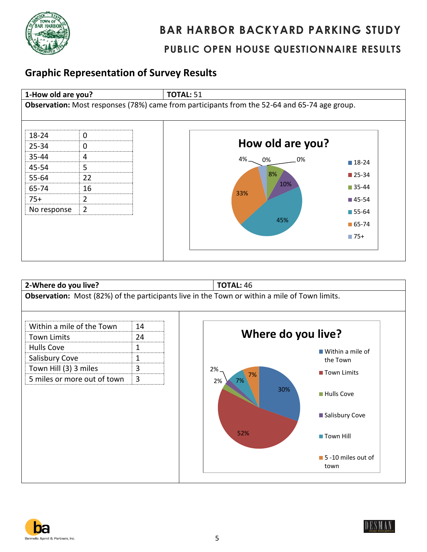

#### **Graphic Representation of Survey Results**







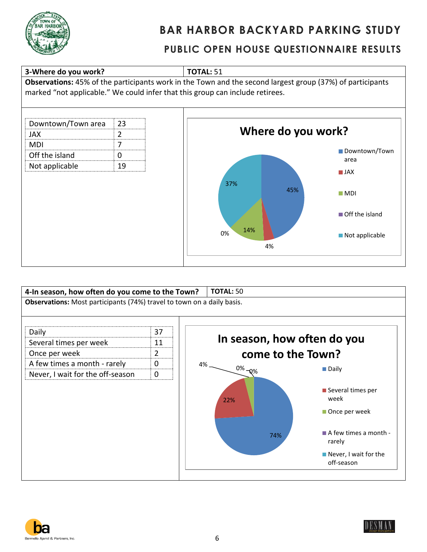







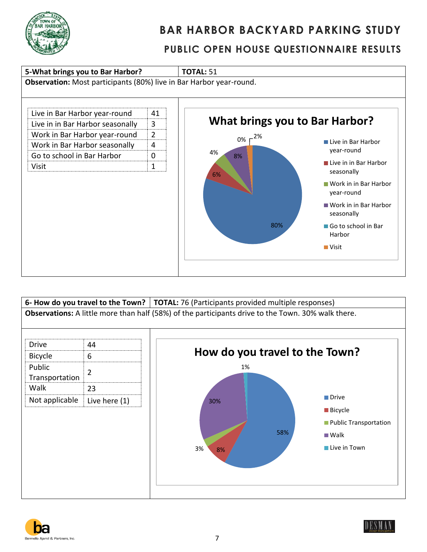







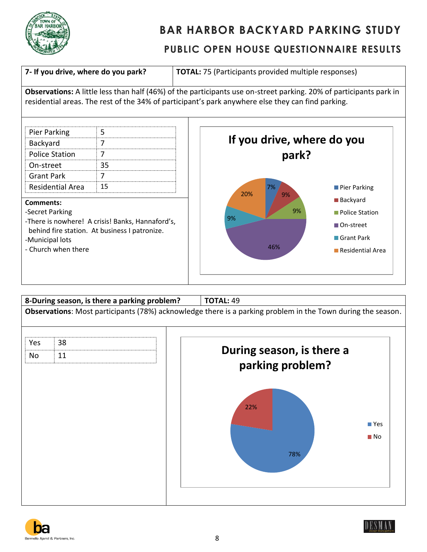

#### **PUBLIC OPEN HOUSE QUESTIONNAIRE RESULTS**

**7- If you drive, where do you park? TOTAL:** 75 (Participants provided multiple responses)

**Observations:** A little less than half (46%) of the participants use on-street parking. 20% of participants park in residential areas. The rest of the 34% of participant's park anywhere else they can find parking.

| <b>Pier Parking</b>   |    |
|-----------------------|----|
| Backyard              |    |
| <b>Police Station</b> |    |
| On-street             |    |
| <b>Grant Park</b>     |    |
| Residential Area      | 15 |

#### **Comments:**

-Secret Parking

-There is nowhere! A crisis! Banks, Hannaford's, behind fire station. At business I patronize.

- -Municipal lots
- Church when there







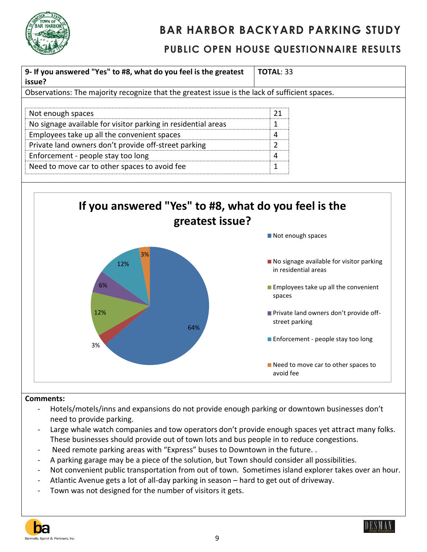

#### **PUBLIC OPEN HOUSE QUESTIONNAIRE RESULTS**



#### **Comments:**

- Hotels/motels/inns and expansions do not provide enough parking or downtown businesses don't need to provide parking.
- Large whale watch companies and tow operators don't provide enough spaces yet attract many folks. These businesses should provide out of town lots and bus people in to reduce congestions.
- Need remote parking areas with "Express" buses to Downtown in the future..
- A parking garage may be a piece of the solution, but Town should consider all possibilities.
- Not convenient public transportation from out of town. Sometimes island explorer takes over an hour.
- Atlantic Avenue gets a lot of all-day parking in season hard to get out of driveway.
- Town was not designed for the number of visitors it gets.

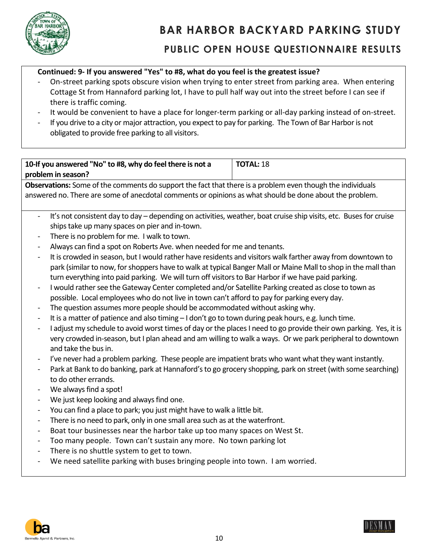

### **Continued: 9- If you answered "Yes" to #8, what do you feel is the greatest issue?**

- On-street parking spots obscure vision when trying to enter street from parking area. When entering Cottage St from Hannaford parking lot, I have to pull half way out into the street before I can see if there is traffic coming.
- It would be convenient to have a place for longer-term parking or all-day parking instead of on-street.
- If you drive to a city or major attraction, you expect to pay for parking. The Town of Bar Harbor is not obligated to provide free parking to all visitors.

#### **10-If you answered "No" to #8, why do feel there is not a problem in season? TOTAL:** 18

**Observations:** Some of the comments do support the fact that there is a problem even though the individuals answered no. There are some of anecdotal comments or opinions as what should be done about the problem.

- It's not consistent day to day depending on activities, weather, boat cruise ship visits, etc. Buses for cruise ships take up many spaces on pier and in-town.
- There is no problem for me. I walk to town.
- Always can find a spot on Roberts Ave. when needed for me and tenants.
- It is crowded in season, but I would rather have residents and visitors walk farther away from downtown to park (similar to now, for shoppers have to walk at typical Banger Mall or Maine Mall to shop in the mall than turn everything into paid parking. We will turn off visitors to Bar Harbor if we have paid parking.
- I would rather see the Gateway Center completed and/or Satellite Parking created as close to town as possible. Local employees who do not live in town can't afford to pay for parking every day.
- The question assumes more people should be accommodated without asking why.
- It is a matter of patience and also timing I don't go to town during peak hours, e.g. lunch time.
- I adjust my schedule to avoid worst times of day or the places I need to go provide their own parking. Yes, it is very crowded in-season, but I plan ahead and am willing to walk a ways. Or we park peripheral to downtown and take the bus in.
- I've never had a problem parking. These people are impatient brats who want what they want instantly.
- Park at Bank to do banking, park at Hannaford's to go grocery shopping, park on street (with some searching) to do other errands.
- We always find a spot!
- We just keep looking and always find one.
- You can find a place to park; you just might have to walk a little bit.
- There is no need to park, only in one small area such as at the waterfront.
- Boat tour businesses near the harbor take up too many spaces on West St.
- Too many people. Town can't sustain any more. No town parking lot
- There is no shuttle system to get to town.
- We need satellite parking with buses bringing people into town. I am worried.



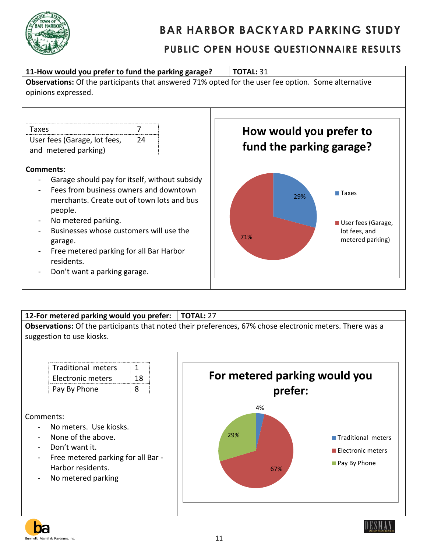



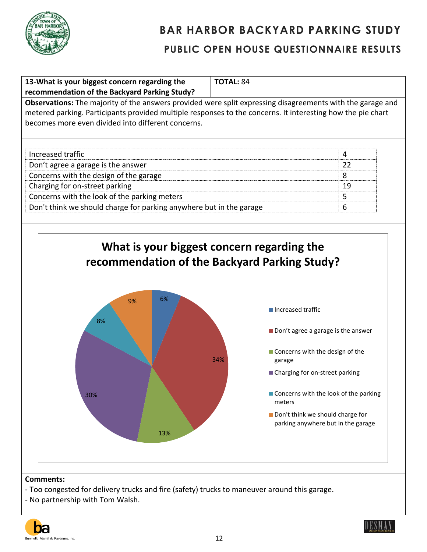

| Observations: The majority of the answers provided were split expressing disagreements with the garage and<br>metered parking. Participants provided multiple responses to the concerns. It interesting how the pie chart<br>becomes more even divided into different concerns.<br>Increased traffic<br>4<br>22<br>Don't agree a garage is the answer<br>Concerns with the design of the garage<br>8<br>Charging for on-street parking<br>19<br>Concerns with the look of the parking meters<br>5<br>6<br>Don't think we should charge for parking anywhere but in the garage<br>What is your biggest concern regarding the<br>recommendation of the Backyard Parking Study?<br>6%<br>9%<br>Increased traffic<br>8%<br>Don't agree a garage is the answer<br>■ Concerns with the design of the<br>34%<br>garage<br>■ Charging for on-street parking<br>■ Concerns with the look of the parking<br>30%<br>meters<br>Don't think we should charge for<br>parking anywhere but in the garage<br>13% | 13-What is your biggest concern regarding the<br>recommendation of the Backyard Parking Study? | <b>TOTAL: 84</b> |
|--------------------------------------------------------------------------------------------------------------------------------------------------------------------------------------------------------------------------------------------------------------------------------------------------------------------------------------------------------------------------------------------------------------------------------------------------------------------------------------------------------------------------------------------------------------------------------------------------------------------------------------------------------------------------------------------------------------------------------------------------------------------------------------------------------------------------------------------------------------------------------------------------------------------------------------------------------------------------------------------------|------------------------------------------------------------------------------------------------|------------------|
|                                                                                                                                                                                                                                                                                                                                                                                                                                                                                                                                                                                                                                                                                                                                                                                                                                                                                                                                                                                                  |                                                                                                |                  |
|                                                                                                                                                                                                                                                                                                                                                                                                                                                                                                                                                                                                                                                                                                                                                                                                                                                                                                                                                                                                  |                                                                                                |                  |
|                                                                                                                                                                                                                                                                                                                                                                                                                                                                                                                                                                                                                                                                                                                                                                                                                                                                                                                                                                                                  |                                                                                                |                  |
|                                                                                                                                                                                                                                                                                                                                                                                                                                                                                                                                                                                                                                                                                                                                                                                                                                                                                                                                                                                                  |                                                                                                |                  |
|                                                                                                                                                                                                                                                                                                                                                                                                                                                                                                                                                                                                                                                                                                                                                                                                                                                                                                                                                                                                  |                                                                                                |                  |
|                                                                                                                                                                                                                                                                                                                                                                                                                                                                                                                                                                                                                                                                                                                                                                                                                                                                                                                                                                                                  |                                                                                                |                  |
|                                                                                                                                                                                                                                                                                                                                                                                                                                                                                                                                                                                                                                                                                                                                                                                                                                                                                                                                                                                                  |                                                                                                |                  |
|                                                                                                                                                                                                                                                                                                                                                                                                                                                                                                                                                                                                                                                                                                                                                                                                                                                                                                                                                                                                  |                                                                                                |                  |
|                                                                                                                                                                                                                                                                                                                                                                                                                                                                                                                                                                                                                                                                                                                                                                                                                                                                                                                                                                                                  |                                                                                                |                  |
|                                                                                                                                                                                                                                                                                                                                                                                                                                                                                                                                                                                                                                                                                                                                                                                                                                                                                                                                                                                                  |                                                                                                |                  |
|                                                                                                                                                                                                                                                                                                                                                                                                                                                                                                                                                                                                                                                                                                                                                                                                                                                                                                                                                                                                  |                                                                                                |                  |
|                                                                                                                                                                                                                                                                                                                                                                                                                                                                                                                                                                                                                                                                                                                                                                                                                                                                                                                                                                                                  |                                                                                                |                  |
|                                                                                                                                                                                                                                                                                                                                                                                                                                                                                                                                                                                                                                                                                                                                                                                                                                                                                                                                                                                                  |                                                                                                |                  |
|                                                                                                                                                                                                                                                                                                                                                                                                                                                                                                                                                                                                                                                                                                                                                                                                                                                                                                                                                                                                  |                                                                                                |                  |
|                                                                                                                                                                                                                                                                                                                                                                                                                                                                                                                                                                                                                                                                                                                                                                                                                                                                                                                                                                                                  |                                                                                                |                  |

- No partnership with Tom Walsh.



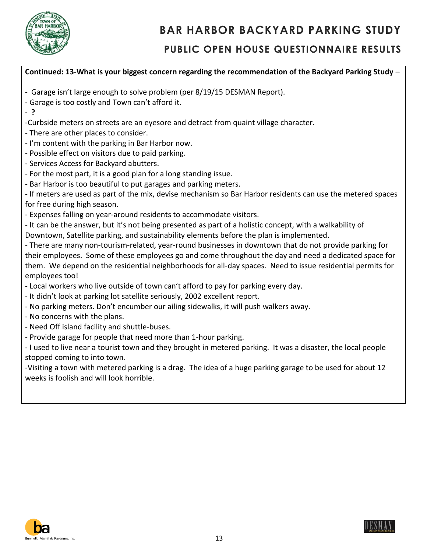

#### **PUBLIC OPEN HOUSE QUESTIONNAIRE RESULTS**

#### **Continued: 13-What is your biggest concern regarding the recommendation of the Backyard Parking Study** – - Garage isn't large enough to solve problem (per 8/19/15 DESMAN Report). - Garage is too costly and Town can't afford it. - **?** -Curbside meters on streets are an eyesore and detract from quaint village character. - There are other places to consider. - I'm content with the parking in Bar Harbor now. - Possible effect on visitors due to paid parking. - Services Access for Backyard abutters. - For the most part, it is a good plan for a long standing issue. - Bar Harbor is too beautiful to put garages and parking meters. - If meters are used as part of the mix, devise mechanism so Bar Harbor residents can use the metered spaces for free during high season. - Expenses falling on year-around residents to accommodate visitors. - It can be the answer, but it's not being presented as part of a holistic concept, with a walkability of Downtown, Satellite parking, and sustainability elements before the plan is implemented. - There are many non-tourism-related, year-round businesses in downtown that do not provide parking for their employees. Some of these employees go and come throughout the day and need a dedicated space for them. We depend on the residential neighborhoods for all-day spaces. Need to issue residential permits for employees too! - Local workers who live outside of town can't afford to pay for parking every day. - It didn't look at parking lot satellite seriously, 2002 excellent report. - No parking meters. Don't encumber our ailing sidewalks, it will push walkers away. - No concerns with the plans. - Need Off island facility and shuttle-buses. - Provide garage for people that need more than 1-hour parking. - I used to live near a tourist town and they brought in metered parking. It was a disaster, the local people stopped coming to into town. -Visiting a town with metered parking is a drag. The idea of a huge parking garage to be used for about 12 weeks is foolish and will look horrible.



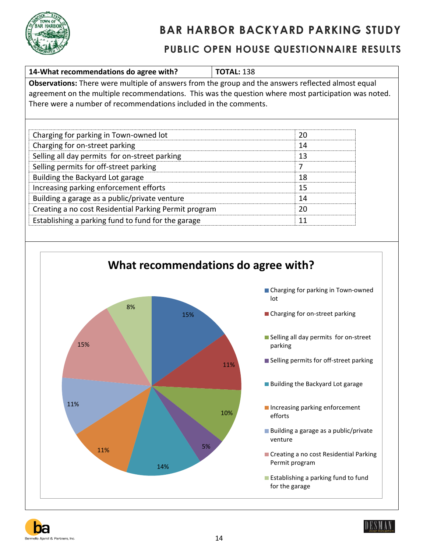





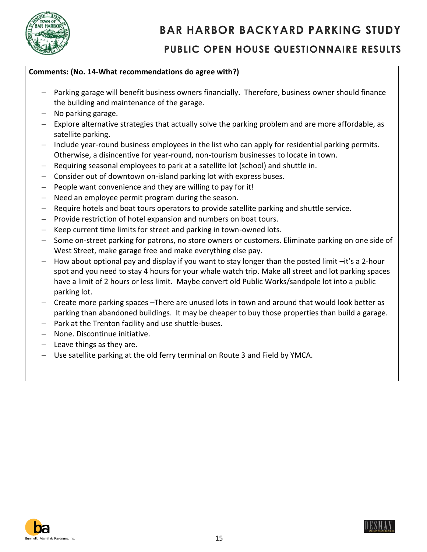

#### **Comments: (No. 14-What recommendations do agree with?)**

- Parking garage will benefit business owners financially. Therefore, business owner should finance the building and maintenance of the garage.
- $-$  No parking garage.
- $-$  Explore alternative strategies that actually solve the parking problem and are more affordable, as satellite parking.
- $-$  Include year-round business employees in the list who can apply for residential parking permits. Otherwise, a disincentive for year-round, non-tourism businesses to locate in town.
- Requiring seasonal employees to park at a satellite lot (school) and shuttle in.
- Consider out of downtown on-island parking lot with express buses.
- $-$  People want convenience and they are willing to pay for it!
- Need an employee permit program during the season.
- Require hotels and boat tours operators to provide satellite parking and shuttle service.
- $-$  Provide restriction of hotel expansion and numbers on boat tours.
- Keep current time limits for street and parking in town-owned lots.
- $-$  Some on-street parking for patrons, no store owners or customers. Eliminate parking on one side of West Street, make garage free and make everything else pay.
- $-$  How about optional pay and display if you want to stay longer than the posted limit  $-$ it's a 2-hour spot and you need to stay 4 hours for your whale watch trip. Make all street and lot parking spaces have a limit of 2 hours or less limit. Maybe convert old Public Works/sandpole lot into a public parking lot.
- Create more parking spaces –There are unused lots in town and around that would look better as parking than abandoned buildings. It may be cheaper to buy those properties than build a garage.
- Park at the Trenton facility and use shuttle-buses.
- None. Discontinue initiative.
- $-$  Leave things as they are.
- Use satellite parking at the old ferry terminal on Route 3 and Field by YMCA.



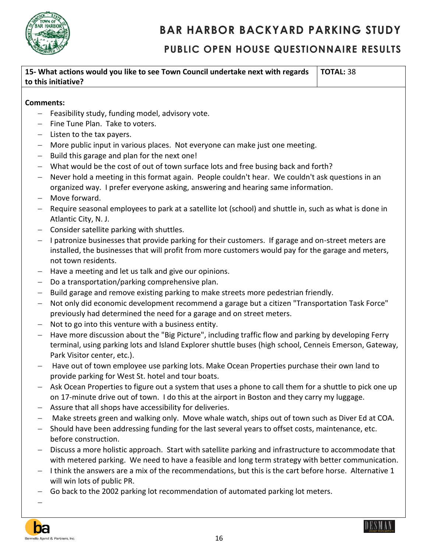

#### **PUBLIC OPEN HOUSE QUESTIONNAIRE RESULTS**

| 15- What actions would you like to see Town Council undertake next with regards   TOTAL: 38 |  |
|---------------------------------------------------------------------------------------------|--|
| to this initiative?                                                                         |  |

#### **Comments:**

- $-$  Feasibility study, funding model, advisory vote.
- $-$  Fine Tune Plan. Take to voters.
- $-$  Listen to the tax payers.
- More public input in various places. Not everyone can make just one meeting.
- $-$  Build this garage and plan for the next one!
- What would be the cost of out of town surface lots and free busing back and forth?
- Never hold a meeting in this format again. People couldn't hear. We couldn't ask questions in an organized way. I prefer everyone asking, answering and hearing same information.
- Move forward.
- Require seasonal employees to park at a satellite lot (school) and shuttle in, such as what is done in Atlantic City, N. J.
- Consider satellite parking with shuttles.
- $-$  I patronize businesses that provide parking for their customers. If garage and on-street meters are installed, the businesses that will profit from more customers would pay for the garage and meters, not town residents.
- Have a meeting and let us talk and give our opinions.
- Do a transportation/parking comprehensive plan.
- Build garage and remove existing parking to make streets more pedestrian friendly.
- Not only did economic development recommend a garage but a citizen "Transportation Task Force" previously had determined the need for a garage and on street meters.
- Not to go into this venture with a business entity.
- Have more discussion about the "Big Picture", including traffic flow and parking by developing Ferry terminal, using parking lots and Island Explorer shuttle buses (high school, Cenneis Emerson, Gateway, Park Visitor center, etc.).
- $-$  Have out of town employee use parking lots. Make Ocean Properties purchase their own land to provide parking for West St. hotel and tour boats.
- Ask Ocean Properties to figure out a system that uses a phone to call them for a shuttle to pick one up on 17-minute drive out of town. I do this at the airport in Boston and they carry my luggage.
- Assure that all shops have accessibility for deliveries.
- Make streets green and walking only. Move whale watch, ships out of town such as Diver Ed at COA.
- Should have been addressing funding for the last several years to offset costs, maintenance, etc. before construction.
- Discuss a more holistic approach. Start with satellite parking and infrastructure to accommodate that with metered parking. We need to have a feasible and long term strategy with better communication.
- $-$  I think the answers are a mix of the recommendations, but this is the cart before horse. Alternative 1 will win lots of public PR.
- Go back to the 2002 parking lot recommendation of automated parking lot meters.

-